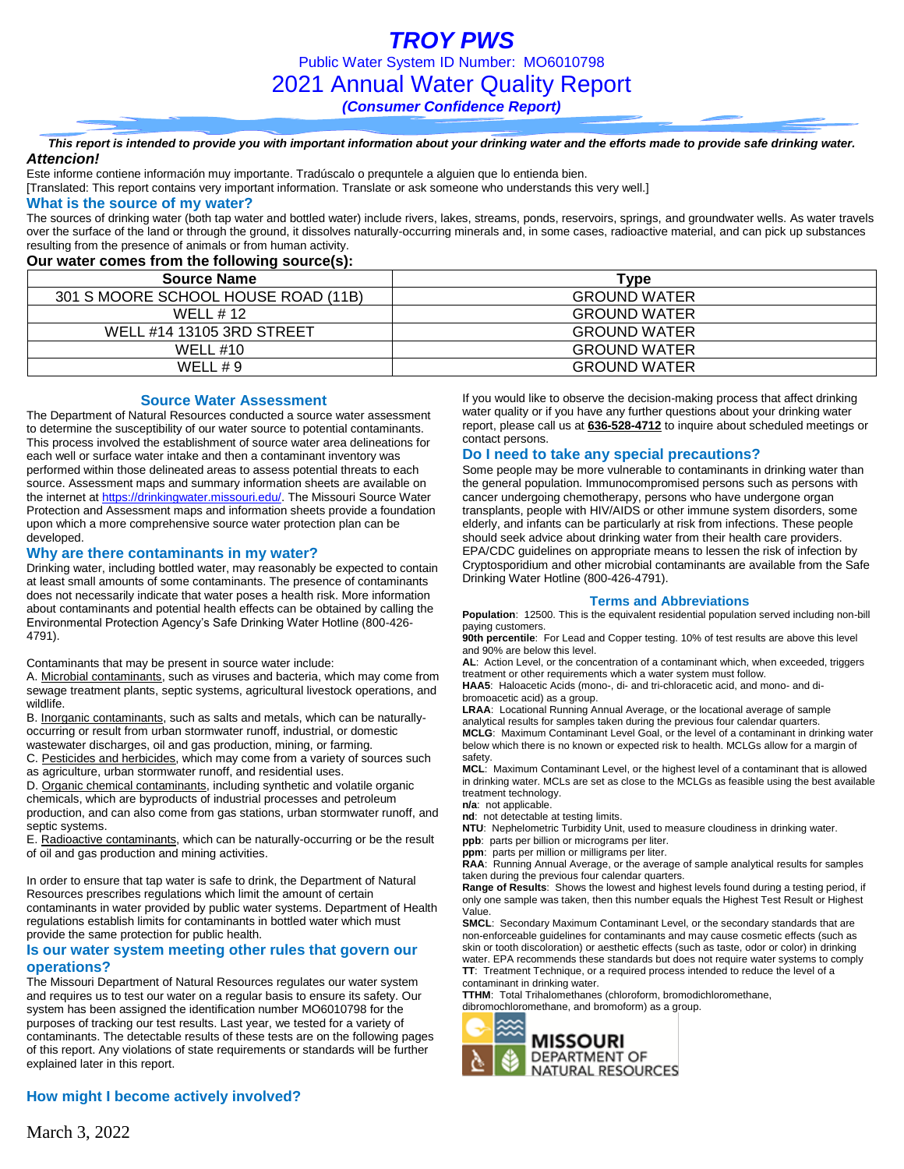#### *This report is intended to provide you with important information about your drinking water and the efforts made to provide safe drinking water. Attencion!*

Este informe contiene información muy importante. Tradúscalo o prequntele a alguien que lo entienda bien.

[Translated: This report contains very important information. Translate or ask someone who understands this very well.]

#### **What is the source of my water?**

The sources of drinking water (both tap water and bottled water) include rivers, lakes, streams, ponds, reservoirs, springs, and groundwater wells. As water travels over the surface of the land or through the ground, it dissolves naturally-occurring minerals and, in some cases, radioactive material, and can pick up substances resulting from the presence of animals or from human activity.

### **Our water comes from the following source(s):**

| <b>Source Name</b>                  | Type                |
|-------------------------------------|---------------------|
| 301 S MOORE SCHOOL HOUSE ROAD (11B) | <b>GROUND WATER</b> |
| WELL #12                            | <b>GROUND WATER</b> |
| WELL #14 13105 3RD STREET           | <b>GROUND WATER</b> |
| WELL #10                            | <b>GROUND WATER</b> |
| WELL # 9                            | <b>GROUND WATER</b> |

### **Source Water Assessment**

The Department of Natural Resources conducted a source water assessment to determine the susceptibility of our water source to potential contaminants. This process involved the establishment of source water area delineations for each well or surface water intake and then a contaminant inventory was performed within those delineated areas to assess potential threats to each source. Assessment maps and summary information sheets are available on the internet a[t https://drinkingwater.missouri.edu/.](https://drinkingwater.missouri.edu/) The Missouri Source Water Protection and Assessment maps and information sheets provide a foundation upon which a more comprehensive source water protection plan can be developed.

### **Why are there contaminants in my water?**

Drinking water, including bottled water, may reasonably be expected to contain at least small amounts of some contaminants. The presence of contaminants does not necessarily indicate that water poses a health risk. More information about contaminants and potential health effects can be obtained by calling the Environmental Protection Agency's Safe Drinking Water Hotline (800-426- 4791).

Contaminants that may be present in source water include:

A. Microbial contaminants, such as viruses and bacteria, which may come from sewage treatment plants, septic systems, agricultural livestock operations, and wildlife.

B. Inorganic contaminants, such as salts and metals, which can be naturallyoccurring or result from urban stormwater runoff, industrial, or domestic wastewater discharges, oil and gas production, mining, or farming.

C. Pesticides and herbicides, which may come from a variety of sources such as agriculture, urban stormwater runoff, and residential uses.

D. Organic chemical contaminants, including synthetic and volatile organic chemicals, which are byproducts of industrial processes and petroleum production, and can also come from gas stations, urban stormwater runoff, and septic systems.

E. Radioactive contaminants, which can be naturally-occurring or be the result of oil and gas production and mining activities.

In order to ensure that tap water is safe to drink, the Department of Natural Resources prescribes regulations which limit the amount of certain contaminants in water provided by public water systems. Department of Health regulations establish limits for contaminants in bottled water which must provide the same protection for public health.

### **Is our water system meeting other rules that govern our operations?**

The Missouri Department of Natural Resources regulates our water system and requires us to test our water on a regular basis to ensure its safety. Our system has been assigned the identification number MO6010798 for the purposes of tracking our test results. Last year, we tested for a variety of contaminants. The detectable results of these tests are on the following pages of this report. Any violations of state requirements or standards will be further explained later in this report.

### **How might I become actively involved?**

If you would like to observe the decision-making process that affect drinking water quality or if you have any further questions about your drinking water report, please call us at **636-528-4712** to inquire about scheduled meetings or contact persons.

### **Do I need to take any special precautions?**

Some people may be more vulnerable to contaminants in drinking water than the general population. Immunocompromised persons such as persons with cancer undergoing chemotherapy, persons who have undergone organ transplants, people with HIV/AIDS or other immune system disorders, some elderly, and infants can be particularly at risk from infections. These people should seek advice about drinking water from their health care providers. EPA/CDC guidelines on appropriate means to lessen the risk of infection by Cryptosporidium and other microbial contaminants are available from the Safe Drinking Water Hotline (800-426-4791).

### **Terms and Abbreviations**

**Population**: 12500. This is the equivalent residential population served including non-bill paying customers.

**90th percentile**: For Lead and Copper testing. 10% of test results are above this level and 90% are below this level.

**AL**: Action Level, or the concentration of a contaminant which, when exceeded, triggers treatment or other requirements which a water system must follow.

**HAA5**: Haloacetic Acids (mono-, di- and tri-chloracetic acid, and mono- and dibromoacetic acid) as a group.

**LRAA**: Locational Running Annual Average, or the locational average of sample analytical results for samples taken during the previous four calendar quarters. **MCLG**: Maximum Contaminant Level Goal, or the level of a contaminant in drinking water

below which there is no known or expected risk to health. MCLGs allow for a margin of safety. **MCL**: Maximum Contaminant Level, or the highest level of a contaminant that is allowed

in drinking water. MCLs are set as close to the MCLGs as feasible using the best available treatment technology.

**n/a**: not applicable.

**nd**: not detectable at testing limits.

**NTU**: Nephelometric Turbidity Unit, used to measure cloudiness in drinking water.

**ppb**: parts per billion or micrograms per liter. **ppm**: parts per million or milligrams per liter.

**RAA**: Running Annual Average, or the average of sample analytical results for samples

taken during the previous four calendar quarters. **Range of Results**: Shows the lowest and highest levels found during a testing period, if only one sample was taken, then this number equals the Highest Test Result or Highest Value.

**SMCL**: Secondary Maximum Contaminant Level, or the secondary standards that are non-enforceable guidelines for contaminants and may cause cosmetic effects (such as skin or tooth discoloration) or aesthetic effects (such as taste, odor or color) in drinking water. EPA recommends these standards but does not require water systems to comply **TT**: Treatment Technique, or a required process intended to reduce the level of a contaminant in drinking water.

**TTHM**: Total Trihalomethanes (chloroform, bromodichloromethane, dibromochloromethane, and bromoform) as a group.

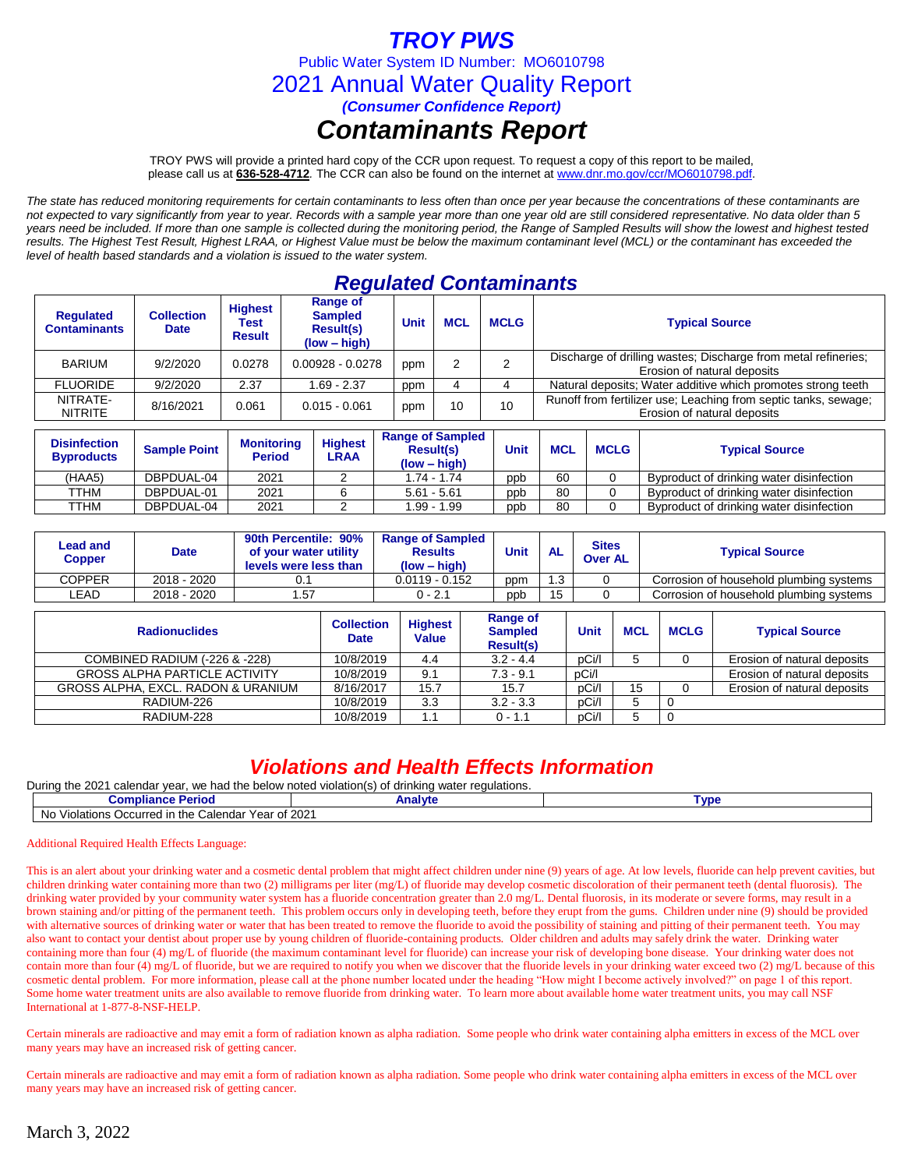# *TROY PWS*

Public Water System ID Number: MO6010798

2021 Annual Water Quality Report

*(Consumer Confidence Report)*

## *Contaminants Report*

TROY PWS will provide a printed hard copy of the CCR upon request. To request a copy of this report to be mailed, please call us at **636-528-4712***.* The CCR can also be found on the internet at www.dnr.mo.gov/ccr/MO6010798.pdf.

*The state has reduced monitoring requirements for certain contaminants to less often than once per year because the concentrations of these contaminants are not expected to vary significantly from year to year. Records with a sample year more than one year old are still considered representative. No data older than 5 years need be included. If more than one sample is collected during the monitoring period, the Range of Sampled Results will show the lowest and highest tested results. The Highest Test Result, Highest LRAA, or Highest Value must be below the maximum contaminant level (MCL) or the contaminant has exceeded the level of health based standards and a violation is issued to the water system.* 

### *Regulated Contaminants*

| <b>Regulated</b><br><b>Contaminants</b> | <b>Collection</b><br><b>Date</b> | <b>Highest</b><br>Test<br><b>Result</b> | Range of<br><b>Sampled</b><br><b>Result(s)</b><br>$(low - high)$ | Unit | <b>MCL</b> | <b>MCLG</b> | <b>Typical Source</b>                                                                          |
|-----------------------------------------|----------------------------------|-----------------------------------------|------------------------------------------------------------------|------|------------|-------------|------------------------------------------------------------------------------------------------|
| <b>BARIUM</b>                           | 9/2/2020                         | 0.0278                                  | $0.00928 - 0.0278$                                               | ppm  |            |             | Discharge of drilling wastes; Discharge from metal refineries;<br>Erosion of natural deposits  |
| <b>FLUORIDE</b>                         | 9/2/2020                         | 2.37                                    | $1.69 - 2.37$                                                    | ppm  |            |             | Natural deposits; Water additive which promotes strong teeth                                   |
| NITRATE-<br><b>NITRITE</b>              | 8/16/2021                        | 0.061                                   | $0.015 - 0.061$                                                  | ppm  | 10         | 10          | Runoff from fertilizer use; Leaching from septic tanks, sewage;<br>Erosion of natural deposits |

| <b>Disinfection</b><br><b>Byproducts</b> | <b>Sample Point</b> | <b>Monitoring</b><br><b>Period</b> | <b>Highest</b><br>LRAA | <b>Range of Sampled</b><br><b>Result(s)</b><br>$(low - high)$ | <b>Unit</b> | <b>MCL</b> | <b>MCLG</b> | <b>Typical Source</b>                    |
|------------------------------------------|---------------------|------------------------------------|------------------------|---------------------------------------------------------------|-------------|------------|-------------|------------------------------------------|
| (HAA5)                                   | DBPDUAL-04          | 2021                               |                        | 1.74 - 1.74                                                   | ppb         | 60         |             | Byproduct of drinking water disinfection |
| TTHM                                     | DBPDUAL-01          | 2021                               |                        | $5.61 - 5.61$                                                 | ppb         | 80         |             | Byproduct of drinking water disinfection |
| TTHM                                     | DBPDUAL-04          | 2021                               |                        | I.99 - 1.99                                                   | ppb         | 80         |             | Byproduct of drinking water disinfection |

| Lead and<br>Copper | <b>Date</b> | 90th Percentile: 90%<br>of your water utility<br>levels were less than | <b>Range of Sampled</b><br><b>Results</b><br>$(low - high)$ | Unit | <b>AL</b> | <b>Sites</b><br><b>Over AL</b> | <b>Typical Source</b>                   |  |  |
|--------------------|-------------|------------------------------------------------------------------------|-------------------------------------------------------------|------|-----------|--------------------------------|-----------------------------------------|--|--|
| COPPER             | 2018 - 2020 |                                                                        | $0.0119 - 0.152$                                            | ppm  | 1.3       |                                | Corrosion of household plumbing systems |  |  |
| LEAD.              | 2018 - 2020 | . 57                                                                   | $0 - 2.1$                                                   | ppb  | 15        |                                | Corrosion of household plumbing systems |  |  |

| <b>Radionuclides</b>                 | <b>Collection</b><br><b>Date</b> | <b>Highest</b><br><b>Value</b> | Range of<br><b>Sampled</b><br><b>Result(s)</b> | <b>Unit</b> | <b>MCL</b> | <b>MCLG</b> | <b>Typical Source</b>       |
|--------------------------------------|----------------------------------|--------------------------------|------------------------------------------------|-------------|------------|-------------|-----------------------------|
| COMBINED RADIUM (-226 & -228)        | 10/8/2019                        | 4.4                            | $3.2 - 4.4$                                    | pCi/l       |            |             | Erosion of natural deposits |
| <b>GROSS ALPHA PARTICLE ACTIVITY</b> | 10/8/2019                        | 9.1                            | $7.3 - 9.1$                                    | pCi/l       |            |             | Erosion of natural deposits |
| GROSS ALPHA, EXCL, RADON & URANIUM   | 8/16/2017                        | 15.7                           | 15.7                                           | pCi/l       | 15         |             | Erosion of natural deposits |
| RADIUM-226                           | 10/8/2019                        | 3.3                            | $3.2 - 3.3$                                    | pCi/l       |            |             |                             |
| RADIUM-228                           | 10/8/2019                        |                                | $0 - 1.1$                                      | pCi/l       |            |             |                             |

### *Violations and Health Effects Information*

During the 2021 calendar year, we had the below noted violation(s) of drinking water regulations.

| pliance<br>-eriou                                                           | nalvte<br>Allar | <b>VD</b> |
|-----------------------------------------------------------------------------|-----------------|-----------|
| Year of 2021<br>. Calendar<br>Occurred<br>the<br>Violations<br>- <b>INC</b> |                 |           |

#### Additional Required Health Effects Language:

This is an alert about your drinking water and a cosmetic dental problem that might affect children under nine (9) years of age. At low levels, fluoride can help prevent cavities, but children drinking water containing more than two (2) milligrams per liter (mg/L) of fluoride may develop cosmetic discoloration of their permanent teeth (dental fluorosis). The drinking water provided by your community water system has a fluoride concentration greater than 2.0 mg/L. Dental fluorosis, in its moderate or severe forms, may result in a brown staining and/or pitting of the permanent teeth. This problem occurs only in developing teeth, before they erupt from the gums. Children under nine (9) should be provided with alternative sources of drinking water or water that has been treated to remove the fluoride to avoid the possibility of staining and pitting of their permanent teeth. You may also want to contact your dentist about proper use by young children of fluoride-containing products. Older children and adults may safely drink the water. Drinking water containing more than four (4) mg/L of fluoride (the maximum contaminant level for fluoride) can increase your risk of developing bone disease. Your drinking water does not contain more than four (4) mg/L of fluoride, but we are required to notify you when we discover that the fluoride levels in your drinking water exceed two (2) mg/L because of this cosmetic dental problem. For more information, please call at the phone number located under the heading "How might I become actively involved?" on page 1 of this report. Some home water treatment units are also available to remove fluoride from drinking water. To learn more about available home water treatment units, you may call NSF International at 1-877-8-NSF-HELP.

Certain minerals are radioactive and may emit a form of radiation known as alpha radiation. Some people who drink water containing alpha emitters in excess of the MCL over many years may have an increased risk of getting cancer.

Certain minerals are radioactive and may emit a form of radiation known as alpha radiation. Some people who drink water containing alpha emitters in excess of the MCL over many years may have an increased risk of getting cancer.